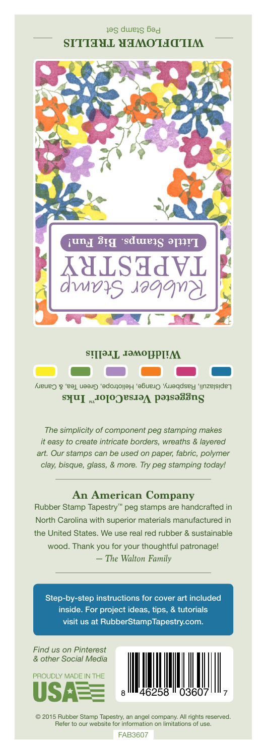## Peg Stamp Set **WILDFLOWER TRELLIS**



#### **Wildflower Trellis**

**Contract Contract Street** 

**The Contract of the Contract of the Contract of the Contract of the Contract of the Contract of the Contract o** 

Lapislazuli, Raspberry, Orange, Heliotrope, Green Tea, & Canary **Suggested VersaColor** Inks

*The simplicity of component peg stamping makes it easy to create intricate borders, wreaths & layered art. Our stamps can be used on paper, fabric, polymer clay, bisque, glass, & more. Try peg stamping today!*

### **An American Company**

*— The Walton Family* Rubber Stamp Tapestry™ peg stamps are handcrafted in North Carolina with superior materials manufactured in the United States. We use real red rubber & sustainable wood. Thank you for your thoughtful patronage!

Step-by-step instructions for cover art included inside. For project ideas, tips, & tutorials visit us at RubberStampTapestry.com.

*Find us on Pinterest & other Social Media*





© 2015 Rubber Stamp Tapestry, an angel company. All rights reserved. Refer to our website for information on limitations of use.